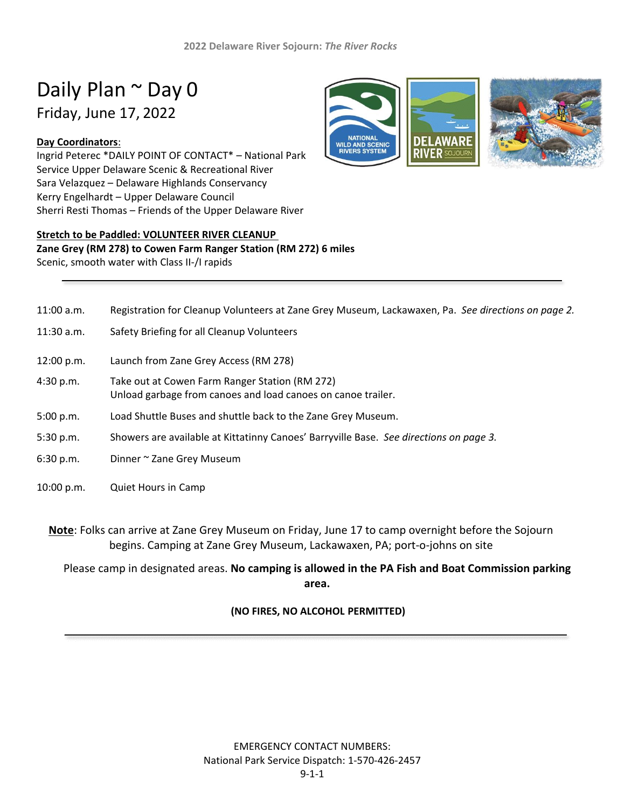# Daily Plan ~ Day 0 Friday, June 17, 2022

#### **Day Coordinators**:

Ingrid Peterec \*DAILY POINT OF CONTACT\* – National Park Service Upper Delaware Scenic & Recreational River Sara Velazquez – Delaware Highlands Conservancy Kerry Engelhardt – Upper Delaware Council Sherri Resti Thomas – Friends of the Upper Delaware River



# **Stretch to be Paddled: VOLUNTEER RIVER CLEANUP**

#### **Zane Grey (RM 278) to Cowen Farm Ranger Station (RM 272) 6 miles** Scenic, smooth water with Class II-/I rapids

| $11:00$ a.m. | Registration for Cleanup Volunteers at Zane Grey Museum, Lackawaxen, Pa. See directions on page 2.             |
|--------------|----------------------------------------------------------------------------------------------------------------|
| $11:30$ a.m. | Safety Briefing for all Cleanup Volunteers                                                                     |
| 12:00 p.m.   | Launch from Zane Grey Access (RM 278)                                                                          |
| 4:30 p.m.    | Take out at Cowen Farm Ranger Station (RM 272)<br>Unload garbage from canoes and load canoes on canoe trailer. |
| 5:00 p.m.    | Load Shuttle Buses and shuttle back to the Zane Grey Museum.                                                   |
| 5:30 p.m.    | Showers are available at Kittatinny Canoes' Barryville Base. See directions on page 3.                         |
| 6:30 p.m.    | Dinner ~ Zane Grey Museum                                                                                      |
| 10:00 p.m.   | <b>Quiet Hours in Camp</b>                                                                                     |

**Note**: Folks can arrive at Zane Grey Museum on Friday, June 17 to camp overnight before the Sojourn begins. Camping at Zane Grey Museum, Lackawaxen, PA; port-o-johns on site

Please camp in designated areas. **No camping is allowed in the PA Fish and Boat Commission parking area.**

# **(NO FIRES, NO ALCOHOL PERMITTED)**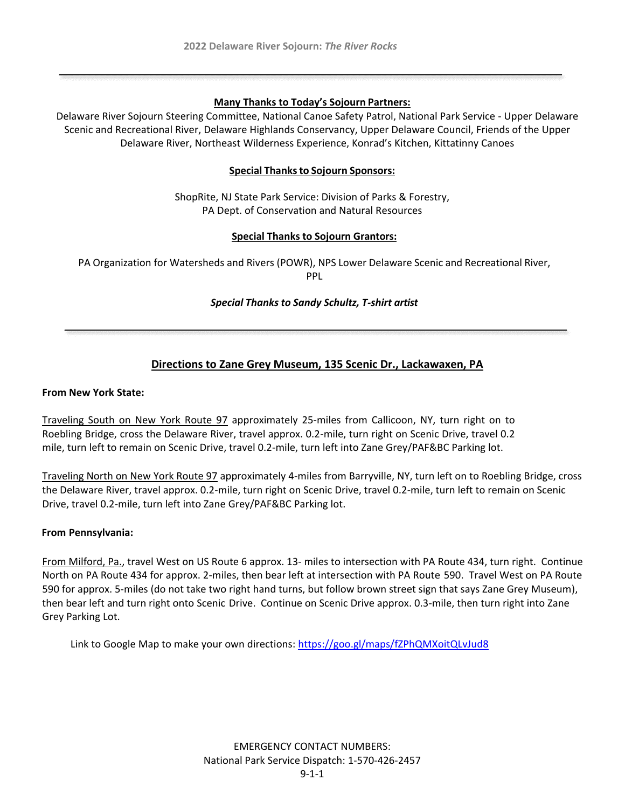#### **Many Thanks to Today's Sojourn Partners:**

Delaware River Sojourn Steering Committee, National Canoe Safety Patrol, National Park Service - Upper Delaware Scenic and Recreational River, Delaware Highlands Conservancy, Upper Delaware Council, Friends of the Upper Delaware River, Northeast Wilderness Experience, Konrad's Kitchen, Kittatinny Canoes

#### **Special Thanksto Sojourn Sponsors:**

ShopRite, NJ State Park Service: Division of Parks & Forestry, PA Dept. of Conservation and Natural Resources

#### **Special Thanks to Sojourn Grantors:**

PA Organization for Watersheds and Rivers (POWR), NPS Lower Delaware Scenic and Recreational River, PPL

#### *Special Thanks to Sandy Schultz, T-shirt artist*

# **Directions to Zane Grey Museum, 135 Scenic Dr., Lackawaxen, PA**

#### **From New York State:**

Traveling South on New York Route 97 approximately 25-miles from Callicoon, NY, turn right on to Roebling Bridge, cross the Delaware River, travel approx. 0.2-mile, turn right on Scenic Drive, travel 0.2 mile, turn left to remain on Scenic Drive, travel 0.2-mile, turn left into Zane Grey/PAF&BC Parking lot.

Traveling North on New York Route 97 approximately 4-miles from Barryville, NY, turn left on to Roebling Bridge, cross the Delaware River, travel approx. 0.2-mile, turn right on Scenic Drive, travel 0.2-mile, turn left to remain on Scenic Drive, travel 0.2-mile, turn left into Zane Grey/PAF&BC Parking lot.

#### **From Pennsylvania:**

From Milford, Pa., travel West on US Route 6 approx. 13- miles to intersection with PA Route 434, turn right. Continue North on PA Route 434 for approx. 2-miles, then bear left at intersection with PA Route 590. Travel West on PA Route 590 for approx. 5-miles (do not take two right hand turns, but follow brown street sign that says Zane Grey Museum), then bear left and turn right onto Scenic Drive. Continue on Scenic Drive approx. 0.3-mile, then turn right into Zane Grey Parking Lot.

Link to Google Map to make your own directions:<https://goo.gl/maps/fZPhQMXoitQLvJud8>